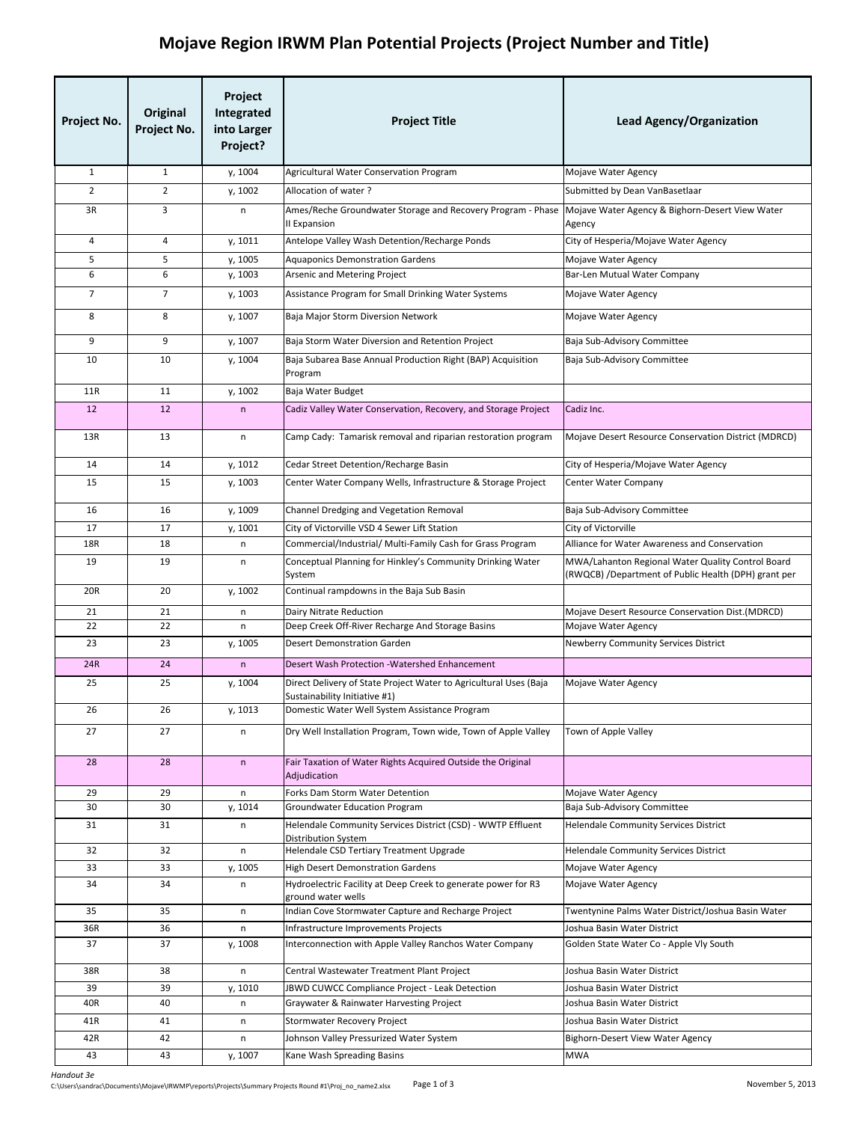## **Mojave Region IRWM Plan Potential Projects (Project Number and Title)**

| Project No.    | Original<br>Project No. | Project<br>Integrated<br>into Larger<br>Project? | <b>Project Title</b>                                                                               | <b>Lead Agency/Organization</b>                                                                           |
|----------------|-------------------------|--------------------------------------------------|----------------------------------------------------------------------------------------------------|-----------------------------------------------------------------------------------------------------------|
| $\mathbf{1}$   | $\mathbf{1}$            | y, 1004                                          | Agricultural Water Conservation Program                                                            | Mojave Water Agency                                                                                       |
| $\overline{2}$ | $\overline{2}$          | y, 1002                                          | Allocation of water?                                                                               | Submitted by Dean VanBasetlaar                                                                            |
| 3R             | 3                       | n                                                | Ames/Reche Groundwater Storage and Recovery Program - Phase                                        | Mojave Water Agency & Bighorn-Desert View Water                                                           |
|                |                         |                                                  | II Expansion                                                                                       | Agency                                                                                                    |
| $\overline{4}$ | $\overline{4}$          | y, 1011                                          | Antelope Valley Wash Detention/Recharge Ponds                                                      | City of Hesperia/Mojave Water Agency                                                                      |
| 5<br>6         | 5<br>6                  | y, 1005<br>y, 1003                               | <b>Aquaponics Demonstration Gardens</b><br>Arsenic and Metering Project                            | Mojave Water Agency<br>Bar-Len Mutual Water Company                                                       |
| $\overline{7}$ | $\overline{7}$          | y, 1003                                          | Assistance Program for Small Drinking Water Systems                                                | Mojave Water Agency                                                                                       |
|                |                         |                                                  |                                                                                                    |                                                                                                           |
| 8              | 8                       | y, 1007                                          | Baja Major Storm Diversion Network                                                                 | Mojave Water Agency                                                                                       |
| 9              | 9                       | y, 1007                                          | Baja Storm Water Diversion and Retention Project                                                   | Baja Sub-Advisory Committee                                                                               |
| 10             | 10                      | y, 1004                                          | Baja Subarea Base Annual Production Right (BAP) Acquisition<br>Program                             | Baja Sub-Advisory Committee                                                                               |
| <b>11R</b>     | 11                      | y, 1002                                          | Baja Water Budget                                                                                  |                                                                                                           |
| 12             | 12                      | $\sf n$                                          | Cadiz Valley Water Conservation, Recovery, and Storage Project                                     | Cadiz Inc.                                                                                                |
| 13R            | 13                      | n                                                | Camp Cady: Tamarisk removal and riparian restoration program                                       | Mojave Desert Resource Conservation District (MDRCD)                                                      |
| 14             | 14                      | y, 1012                                          | Cedar Street Detention/Recharge Basin                                                              | City of Hesperia/Mojave Water Agency                                                                      |
| 15             | 15                      | y, 1003                                          | Center Water Company Wells, Infrastructure & Storage Project                                       | Center Water Company                                                                                      |
| 16             | 16                      | y, 1009                                          | Channel Dredging and Vegetation Removal                                                            | Baja Sub-Advisory Committee                                                                               |
| 17             | 17                      | y, 1001                                          | City of Victorville VSD 4 Sewer Lift Station                                                       | City of Victorville                                                                                       |
| 18R            | 18                      | n                                                | Commercial/Industrial/ Multi-Family Cash for Grass Program                                         | Alliance for Water Awareness and Conservation                                                             |
| 19             | 19                      | n                                                | Conceptual Planning for Hinkley's Community Drinking Water<br>System                               | MWA/Lahanton Regional Water Quality Control Board<br>(RWQCB) /Department of Public Health (DPH) grant per |
| 20R            | 20                      | y, 1002                                          | Continual rampdowns in the Baja Sub Basin                                                          |                                                                                                           |
| 21             | 21                      | n                                                | Dairy Nitrate Reduction                                                                            | Mojave Desert Resource Conservation Dist. (MDRCD)                                                         |
| 22             | 22                      | n                                                | Deep Creek Off-River Recharge And Storage Basins                                                   | Mojave Water Agency                                                                                       |
| 23             | 23                      | y, 1005                                          | <b>Desert Demonstration Garden</b>                                                                 | Newberry Community Services District                                                                      |
| 24R            | 24                      | $\mathsf{n}$                                     | Desert Wash Protection - Watershed Enhancement                                                     |                                                                                                           |
| 25             | 25                      | y, 1004                                          | Direct Delivery of State Project Water to Agricultural Uses (Baja<br>Sustainability Initiative #1) | Mojave Water Agency                                                                                       |
| 26             | 26                      | y, 1013                                          | Domestic Water Well System Assistance Program                                                      |                                                                                                           |
| 27             | 27                      | n                                                | Dry Well Installation Program, Town wide, Town of Apple Valley                                     | Town of Apple Valley                                                                                      |
| 28             | 28                      | $\mathsf{n}$                                     | Fair Taxation of Water Rights Acquired Outside the Original<br>Adjudication                        |                                                                                                           |
| 29             | 29                      | n                                                | Forks Dam Storm Water Detention                                                                    | Mojave Water Agency                                                                                       |
| 30             | 30                      | y, 1014                                          | Groundwater Education Program                                                                      | Baja Sub-Advisory Committee                                                                               |
| 31             | 31                      | n                                                | Helendale Community Services District (CSD) - WWTP Effluent<br><b>Distribution System</b>          | Helendale Community Services District                                                                     |
| 32             | 32                      | n                                                | Helendale CSD Tertiary Treatment Upgrade                                                           | <b>Helendale Community Services District</b>                                                              |
| 33             | 33                      | y, 1005                                          | <b>High Desert Demonstration Gardens</b>                                                           | Mojave Water Agency                                                                                       |
| 34             | 34                      | n                                                | Hydroelectric Facility at Deep Creek to generate power for R3<br>ground water wells                | Mojave Water Agency                                                                                       |
| 35             | 35                      | n                                                | Indian Cove Stormwater Capture and Recharge Project                                                | Twentynine Palms Water District/Joshua Basin Water                                                        |
| 36R<br>37      | 36<br>37                | n<br>y, 1008                                     | Infrastructure Improvements Projects<br>Interconnection with Apple Valley Ranchos Water Company    | Joshua Basin Water District<br>Golden State Water Co - Apple Vly South                                    |
| 38R            | 38                      | n                                                | Central Wastewater Treatment Plant Project                                                         | Joshua Basin Water District                                                                               |
| 39             | 39                      | y, 1010                                          | JBWD CUWCC Compliance Project - Leak Detection                                                     | Joshua Basin Water District                                                                               |
| 40R            | 40                      | n                                                | Graywater & Rainwater Harvesting Project                                                           | Joshua Basin Water District                                                                               |
| 41R            | 41                      | n                                                | Stormwater Recovery Project                                                                        | Joshua Basin Water District                                                                               |
| 42R            | 42                      | n                                                | Johnson Valley Pressurized Water System                                                            | <b>Bighorn-Desert View Water Agency</b>                                                                   |
| 43             | 43                      | y, 1007                                          | Kane Wash Spreading Basins                                                                         | <b>MWA</b>                                                                                                |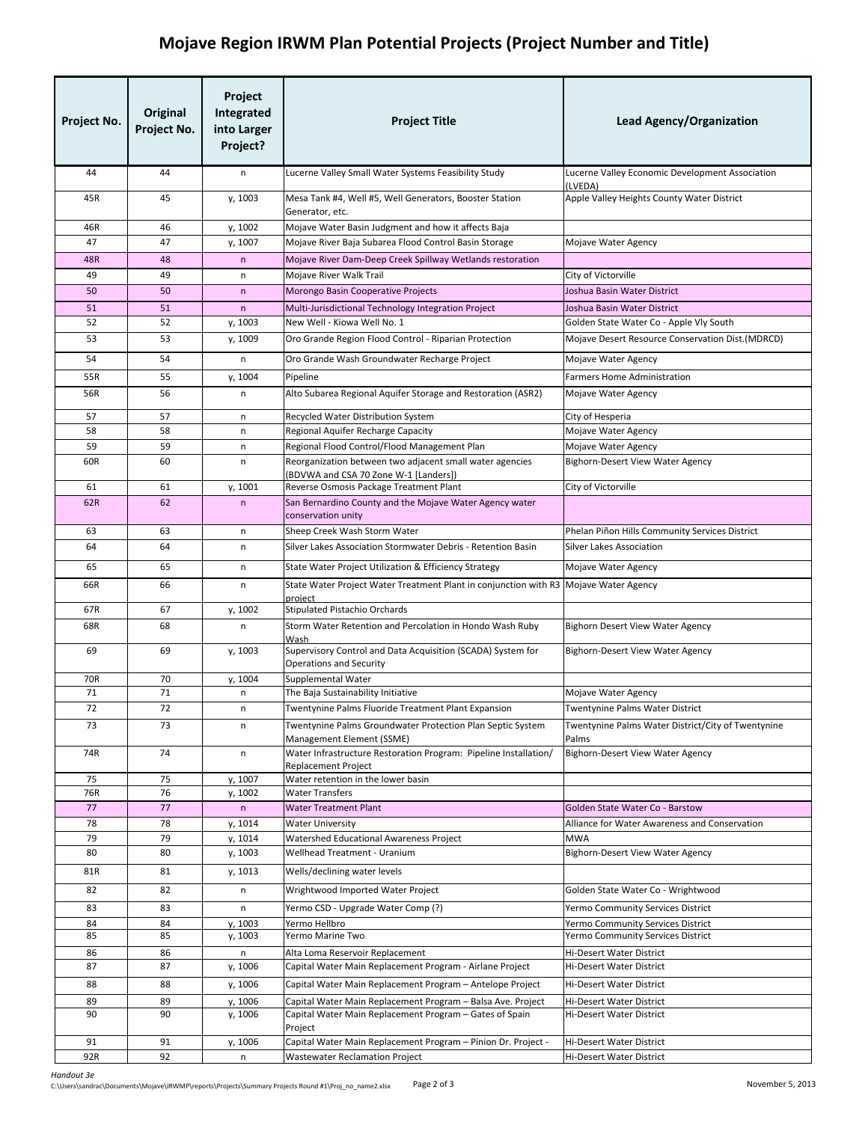## **Mojave Region IRWM Plan Potential Projects (Project Number and Title)**

| Project No. | Original<br>Project No. | Project<br>Integrated<br>into Larger<br>Project? | <b>Project Title</b>                                                                              | <b>Lead Agency/Organization</b>                             |
|-------------|-------------------------|--------------------------------------------------|---------------------------------------------------------------------------------------------------|-------------------------------------------------------------|
| 44          | 44                      | n                                                | Lucerne Valley Small Water Systems Feasibility Study                                              | Lucerne Valley Economic Development Association<br>(LVEDA)  |
| 45R         | 45                      | y, 1003                                          | Mesa Tank #4, Well #5, Well Generators, Booster Station<br>Generator, etc.                        | Apple Valley Heights County Water District                  |
| 46R         | 46                      | y, 1002                                          | Mojave Water Basin Judgment and how it affects Baja                                               |                                                             |
| 47          | 47                      | y, 1007                                          | Mojave River Baja Subarea Flood Control Basin Storage                                             | Mojave Water Agency                                         |
| 48R         | 48                      | $\mathsf{n}$                                     | Mojave River Dam-Deep Creek Spillway Wetlands restoration                                         |                                                             |
| 49          | 49                      | n                                                | Mojave River Walk Trail                                                                           | City of Victorville                                         |
| 50          | 50                      | $\mathsf{n}$                                     | Morongo Basin Cooperative Projects                                                                | Joshua Basin Water District                                 |
| 51          | 51                      | n                                                | Multi-Jurisdictional Technology Integration Project                                               | Joshua Basin Water District                                 |
| 52          | 52                      | y, 1003                                          | New Well - Kiowa Well No. 1                                                                       | Golden State Water Co - Apple Vly South                     |
| 53          | 53                      | y, 1009                                          | Oro Grande Region Flood Control - Riparian Protection                                             | Mojave Desert Resource Conservation Dist. (MDRCD)           |
| 54          | 54                      | n                                                | Oro Grande Wash Groundwater Recharge Project                                                      | Mojave Water Agency                                         |
| 55R         | 55                      | y, 1004                                          | Pipeline                                                                                          | Farmers Home Administration                                 |
| 56R         | 56                      | n                                                | Alto Subarea Regional Aquifer Storage and Restoration (ASR2)                                      | <b>Mojave Water Agency</b>                                  |
| 57          | 57                      | n                                                | Recycled Water Distribution System                                                                | City of Hesperia                                            |
| 58          | 58                      | n                                                | Regional Aquifer Recharge Capacity                                                                | Mojave Water Agency                                         |
| 59          | 59                      | n                                                | Regional Flood Control/Flood Management Plan                                                      | Mojave Water Agency                                         |
| 60R         | 60                      | n                                                | Reorganization between two adjacent small water agencies<br>(BDVWA and CSA 70 Zone W-1 [Landers]) | Bighorn-Desert View Water Agency                            |
| 61          | 61                      | y, 1001                                          | Reverse Osmosis Package Treatment Plant                                                           | City of Victorville                                         |
| 62R         | 62                      | $\mathsf{n}$                                     | San Bernardino County and the Mojave Water Agency water<br>conservation unity                     |                                                             |
| 63          | 63                      | n                                                | Sheep Creek Wash Storm Water                                                                      | Phelan Piñon Hills Community Services District              |
| 64          | 64                      | n                                                | Silver Lakes Association Stormwater Debris - Retention Basin                                      | <b>Silver Lakes Association</b>                             |
| 65          | 65                      | n                                                | State Water Project Utilization & Efficiency Strategy                                             | Mojave Water Agency                                         |
| 66R         | 66                      | n                                                | State Water Project Water Treatment Plant in conjunction with R3 Mojave Water Agency<br>project   |                                                             |
| 67R         | 67                      | y, 1002                                          | <b>Stipulated Pistachio Orchards</b>                                                              |                                                             |
| 68R         | 68                      | n                                                | Storm Water Retention and Percolation in Hondo Wash Ruby<br>Wash                                  | Bighorn Desert View Water Agency                            |
| 69          | 69                      | y, 1003                                          | Supervisory Control and Data Acquisition (SCADA) System for<br><b>Operations and Security</b>     | <b>Bighorn-Desert View Water Agency</b>                     |
| 70R         | 70                      | y, 1004                                          | Supplemental Water                                                                                |                                                             |
| 71          | 71                      | n                                                | The Baja Sustainability Initiative                                                                | Mojave Water Agency                                         |
| 72          | 72                      | n                                                | Twentynine Palms Fluoride Treatment Plant Expansion                                               | Twentynine Palms Water District                             |
| 73          | 73                      | n                                                | Twentynine Palms Groundwater Protection Plan Septic System<br>Management Element (SSME)           | Twentynine Palms Water District/City of Twentynine<br>Palms |
| 74R         | 74                      | n                                                | Water Infrastructure Restoration Program: Pipeline Installation/<br><b>Replacement Project</b>    | Bighorn-Desert View Water Agency                            |
| 75          | 75                      | y, 1007                                          | Water retention in the lower basin                                                                |                                                             |
| 76R<br>77   | 76<br>77                | y, 1002<br>n                                     | <b>Water Transfers</b><br><b>Water Treatment Plant</b>                                            | Golden State Water Co - Barstow                             |
| 78          | 78                      | y, 1014                                          | <b>Water University</b>                                                                           | Alliance for Water Awareness and Conservation               |
| 79          | 79                      | y, 1014                                          | Watershed Educational Awareness Project                                                           | <b>MWA</b>                                                  |
| 80          | 80                      | y, 1003                                          | Wellhead Treatment - Uranium                                                                      | Bighorn-Desert View Water Agency                            |
| 81R         | 81                      | y, 1013                                          | Wells/declining water levels                                                                      |                                                             |
| 82          | 82                      | n                                                | Wrightwood Imported Water Project                                                                 | Golden State Water Co - Wrightwood                          |
| 83          | 83                      | n                                                | Yermo CSD - Upgrade Water Comp (?)                                                                | Yermo Community Services District                           |
| 84          | 84                      | y, 1003                                          | Yermo Hellbro                                                                                     | Yermo Community Services District                           |
| 85          | 85                      | y, 1003                                          | Yermo Marine Two                                                                                  | Yermo Community Services District                           |
| 86<br>87    | 86<br>87                | n<br>y, 1006                                     | Alta Loma Reservoir Replacement<br>Capital Water Main Replacement Program - Airlane Project       | Hi-Desert Water District<br><b>Hi-Desert Water District</b> |
| 88          | 88                      | y, 1006                                          | Capital Water Main Replacement Program - Antelope Project                                         | <b>Hi-Desert Water District</b>                             |
| 89          | 89                      | y, 1006                                          | Capital Water Main Replacement Program - Balsa Ave. Project                                       | <b>Hi-Desert Water District</b>                             |
| 90          | 90                      | y, 1006                                          | Capital Water Main Replacement Program - Gates of Spain                                           | Hi-Desert Water District                                    |
|             |                         |                                                  | Project                                                                                           |                                                             |
| 91          | 91                      | y, 1006                                          | Capital Water Main Replacement Program - Pinion Dr. Project -                                     | Hi-Desert Water District                                    |
| 92R         | 92                      | n                                                | <b>Wastewater Reclamation Project</b>                                                             | Hi-Desert Water District                                    |